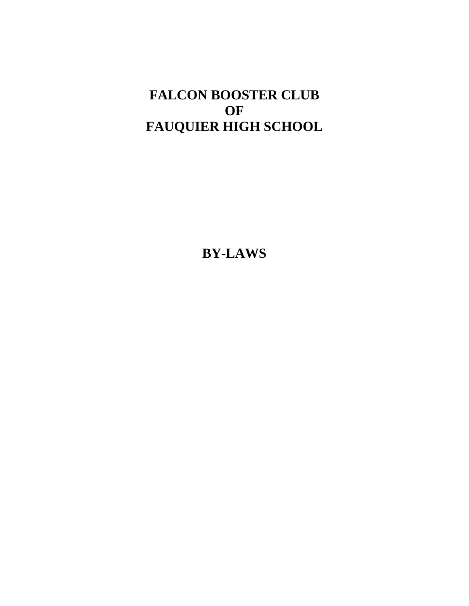# **FALCON BOOSTER CLUB OF FAUQUIER HIGH SCHOOL**

**BY-LAWS**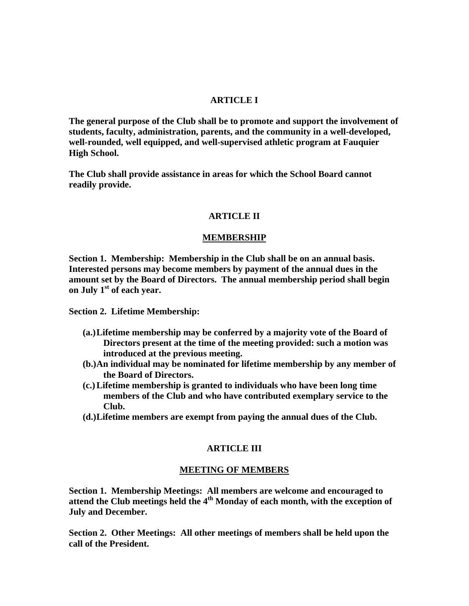# **ARTICLE I**

**The general purpose of the Club shall be to promote and support the involvement of students, faculty, administration, parents, and the community in a well-developed, well-rounded, well equipped, and well-supervised athletic program at Fauquier High School.** 

**The Club shall provide assistance in areas for which the School Board cannot readily provide.** 

# **ARTICLE II**

#### **MEMBERSHIP**

**Section 1. Membership: Membership in the Club shall be on an annual basis. Interested persons may become members by payment of the annual dues in the amount set by the Board of Directors. The annual membership period shall begin on July 1st of each year.** 

**Section 2. Lifetime Membership:** 

- **(a.)Lifetime membership may be conferred by a majority vote of the Board of Directors present at the time of the meeting provided: such a motion was introduced at the previous meeting.**
- **(b.)An individual may be nominated for lifetime membership by any member of the Board of Directors.**
- **(c.)Lifetime membership is granted to individuals who have been long time members of the Club and who have contributed exemplary service to the Club.**
- **(d.)Lifetime members are exempt from paying the annual dues of the Club.**

# **ARTICLE III**

# **MEETING OF MEMBERS**

**Section 1. Membership Meetings: All members are welcome and encouraged to attend the Club meetings held the 4th Monday of each month, with the exception of July and December.** 

**Section 2. Other Meetings: All other meetings of members shall be held upon the call of the President.**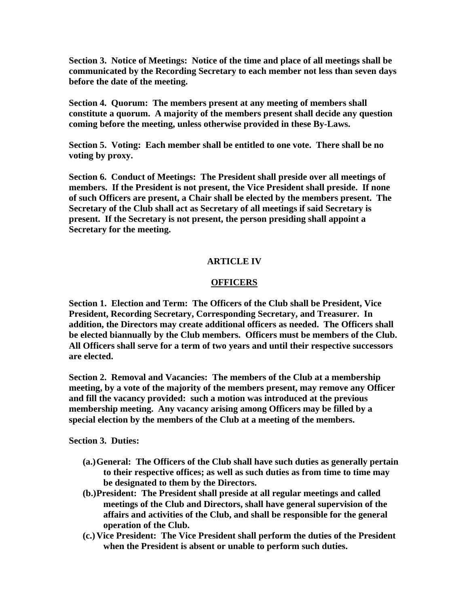**Section 3. Notice of Meetings: Notice of the time and place of all meetings shall be communicated by the Recording Secretary to each member not less than seven days before the date of the meeting.** 

**Section 4. Quorum: The members present at any meeting of members shall constitute a quorum. A majority of the members present shall decide any question coming before the meeting, unless otherwise provided in these By-Laws.** 

**Section 5. Voting: Each member shall be entitled to one vote. There shall be no voting by proxy.** 

**Section 6. Conduct of Meetings: The President shall preside over all meetings of members. If the President is not present, the Vice President shall preside. If none of such Officers are present, a Chair shall be elected by the members present. The Secretary of the Club shall act as Secretary of all meetings if said Secretary is present. If the Secretary is not present, the person presiding shall appoint a Secretary for the meeting.** 

# **ARTICLE IV**

# **OFFICERS**

**Section 1. Election and Term: The Officers of the Club shall be President, Vice President, Recording Secretary, Corresponding Secretary, and Treasurer. In addition, the Directors may create additional officers as needed. The Officers shall be elected biannually by the Club members. Officers must be members of the Club. All Officers shall serve for a term of two years and until their respective successors are elected.** 

**Section 2. Removal and Vacancies: The members of the Club at a membership meeting, by a vote of the majority of the members present, may remove any Officer and fill the vacancy provided: such a motion was introduced at the previous membership meeting. Any vacancy arising among Officers may be filled by a special election by the members of the Club at a meeting of the members.** 

**Section 3. Duties:** 

- **(a.)General: The Officers of the Club shall have such duties as generally pertain to their respective offices; as well as such duties as from time to time may be designated to them by the Directors.**
- **(b.)President: The President shall preside at all regular meetings and called meetings of the Club and Directors, shall have general supervision of the affairs and activities of the Club, and shall be responsible for the general operation of the Club.**
- **(c.)Vice President: The Vice President shall perform the duties of the President when the President is absent or unable to perform such duties.**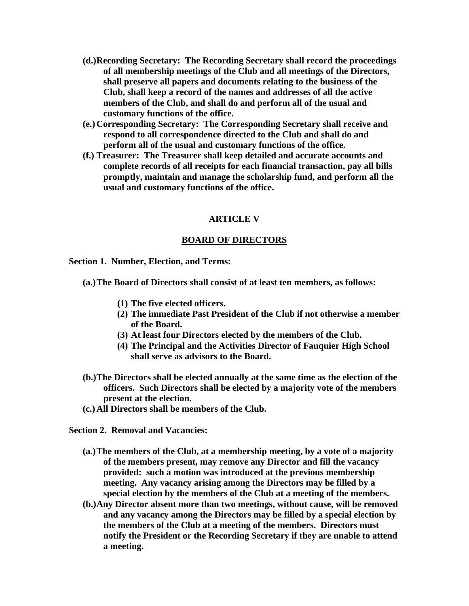- **(d.)Recording Secretary: The Recording Secretary shall record the proceedings of all membership meetings of the Club and all meetings of the Directors, shall preserve all papers and documents relating to the business of the Club, shall keep a record of the names and addresses of all the active members of the Club, and shall do and perform all of the usual and customary functions of the office.**
- **(e.)Corresponding Secretary: The Corresponding Secretary shall receive and respond to all correspondence directed to the Club and shall do and perform all of the usual and customary functions of the office.**
- **(f.) Treasurer: The Treasurer shall keep detailed and accurate accounts and complete records of all receipts for each financial transaction, pay all bills promptly, maintain and manage the scholarship fund, and perform all the usual and customary functions of the office.**

# **ARTICLE V**

# **BOARD OF DIRECTORS**

**Section 1. Number, Election, and Terms:** 

**(a.)The Board of Directors shall consist of at least ten members, as follows:** 

- **(1) The five elected officers.**
- **(2) The immediate Past President of the Club if not otherwise a member of the Board.**
- **(3) At least four Directors elected by the members of the Club.**
- **(4) The Principal and the Activities Director of Fauquier High School shall serve as advisors to the Board.**
- **(b.)The Directors shall be elected annually at the same time as the election of the officers. Such Directors shall be elected by a majority vote of the members present at the election.**
- **(c.)All Directors shall be members of the Club.**

**Section 2. Removal and Vacancies:** 

- **(a.)The members of the Club, at a membership meeting, by a vote of a majority of the members present, may remove any Director and fill the vacancy provided: such a motion was introduced at the previous membership meeting. Any vacancy arising among the Directors may be filled by a special election by the members of the Club at a meeting of the members.**
- **(b.)Any Director absent more than two meetings, without cause, will be removed and any vacancy among the Directors may be filled by a special election by the members of the Club at a meeting of the members. Directors must notify the President or the Recording Secretary if they are unable to attend a meeting.**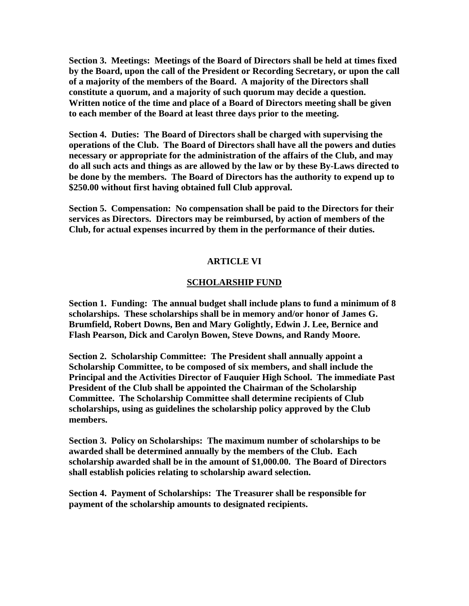**Section 3. Meetings: Meetings of the Board of Directors shall be held at times fixed by the Board, upon the call of the President or Recording Secretary, or upon the call of a majority of the members of the Board. A majority of the Directors shall constitute a quorum, and a majority of such quorum may decide a question. Written notice of the time and place of a Board of Directors meeting shall be given to each member of the Board at least three days prior to the meeting.** 

**Section 4. Duties: The Board of Directors shall be charged with supervising the operations of the Club. The Board of Directors shall have all the powers and duties necessary or appropriate for the administration of the affairs of the Club, and may do all such acts and things as are allowed by the law or by these By-Laws directed to be done by the members. The Board of Directors has the authority to expend up to \$250.00 without first having obtained full Club approval.** 

**Section 5. Compensation: No compensation shall be paid to the Directors for their services as Directors. Directors may be reimbursed, by action of members of the Club, for actual expenses incurred by them in the performance of their duties.** 

# **ARTICLE VI**

# **SCHOLARSHIP FUND**

**Section 1. Funding: The annual budget shall include plans to fund a minimum of 8 scholarships. These scholarships shall be in memory and/or honor of James G. Brumfield, Robert Downs, Ben and Mary Golightly, Edwin J. Lee, Bernice and Flash Pearson, Dick and Carolyn Bowen, Steve Downs, and Randy Moore.** 

**Section 2. Scholarship Committee: The President shall annually appoint a Scholarship Committee, to be composed of six members, and shall include the Principal and the Activities Director of Fauquier High School. The immediate Past President of the Club shall be appointed the Chairman of the Scholarship Committee. The Scholarship Committee shall determine recipients of Club scholarships, using as guidelines the scholarship policy approved by the Club members.** 

**Section 3. Policy on Scholarships: The maximum number of scholarships to be awarded shall be determined annually by the members of the Club. Each scholarship awarded shall be in the amount of \$1,000.00. The Board of Directors shall establish policies relating to scholarship award selection.** 

**Section 4. Payment of Scholarships: The Treasurer shall be responsible for payment of the scholarship amounts to designated recipients.**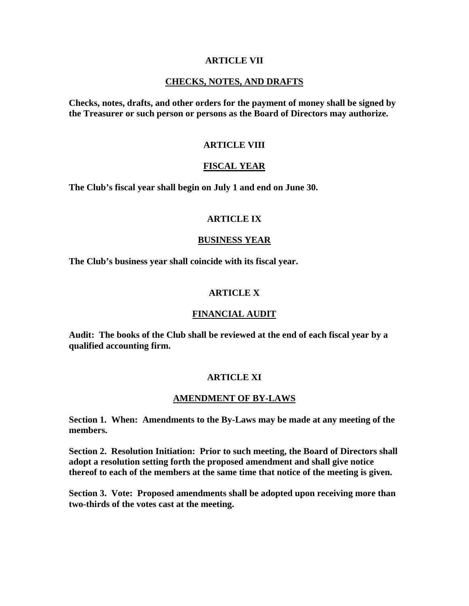## **ARTICLE VII**

# **CHECKS, NOTES, AND DRAFTS**

**Checks, notes, drafts, and other orders for the payment of money shall be signed by the Treasurer or such person or persons as the Board of Directors may authorize.** 

# **ARTICLE VIII**

# **FISCAL YEAR**

**The Club's fiscal year shall begin on July 1 and end on June 30.** 

## **ARTICLE IX**

#### **BUSINESS YEAR**

**The Club's business year shall coincide with its fiscal year.** 

#### **ARTICLE X**

#### **FINANCIAL AUDIT**

**Audit: The books of the Club shall be reviewed at the end of each fiscal year by a qualified accounting firm.** 

#### **ARTICLE XI**

## **AMENDMENT OF BY-LAWS**

**Section 1. When: Amendments to the By-Laws may be made at any meeting of the members.** 

**Section 2. Resolution Initiation: Prior to such meeting, the Board of Directors shall adopt a resolution setting forth the proposed amendment and shall give notice thereof to each of the members at the same time that notice of the meeting is given.** 

**Section 3. Vote: Proposed amendments shall be adopted upon receiving more than two-thirds of the votes cast at the meeting.**